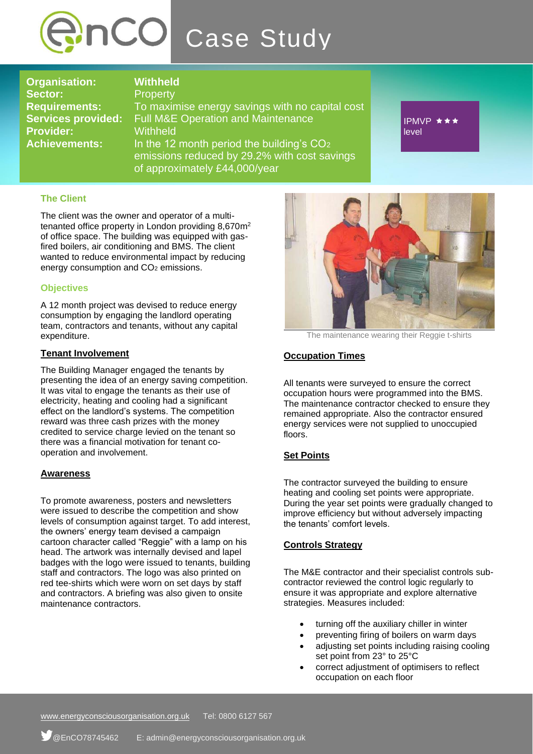

**Organisation: Withheld** Sector: Property **Provider:** Withheld

**Requirements:** To maximise energy savings with no capital cost **Services provided:** Full M&E Operation and Maintenance **Achievements:** In the 12 month period the building's CO<sup>2</sup> emissions reduced by 29.2% with cost savings of approximately £44,000/year

IPMVP ★★★ level

# **The Client**

The client was the owner and operator of a multitenanted office property in London providing 8,670m<sup>2</sup> of office space. The building was equipped with gasfired boilers, air conditioning and BMS. The client wanted to reduce environmental impact by reducing energy consumption and CO<sub>2</sub> emissions.

## **Objectives**

A 12 month project was devised to reduce energy consumption by engaging the landlord operating team, contractors and tenants, without any capital expenditure.

### **Tenant Involvement**

The Building Manager engaged the tenants by presenting the idea of an energy saving competition. It was vital to engage the tenants as their use of electricity, heating and cooling had a significant effect on the landlord's systems. The competition reward was three cash prizes with the money credited to service charge levied on the tenant so there was a financial motivation for tenant cooperation and involvement.

#### **Awareness**

To promote awareness, posters and newsletters were issued to describe the competition and show levels of consumption against target. To add interest, the owners' energy team devised a campaign cartoon character called "Reggie" with a lamp on his head. The artwork was internally devised and lapel badges with the logo were issued to tenants, building staff and contractors. The logo was also printed on red tee-shirts which were worn on set days by staff and contractors. A briefing was also given to onsite maintenance contractors.



The maintenance wearing their Reggie t-shirts

# **Occupation Times**

All tenants were surveyed to ensure the correct occupation hours were programmed into the BMS. The maintenance contractor checked to ensure they remained appropriate. Also the contractor ensured energy services were not supplied to unoccupied floors.

# **Set Points**

The contractor surveyed the building to ensure heating and cooling set points were appropriate. During the year set points were gradually changed to improve efficiency but without adversely impacting the tenants' comfort levels.

#### **Controls Strategy**

The M&E contractor and their specialist controls subcontractor reviewed the control logic regularly to ensure it was appropriate and explore alternative strategies. Measures included:

- turning off the auxiliary chiller in winter
- preventing firing of boilers on warm days
- adjusting set points including raising cooling set point from 23° to 25°C
- correct adjustment of optimisers to reflect occupation on each floor